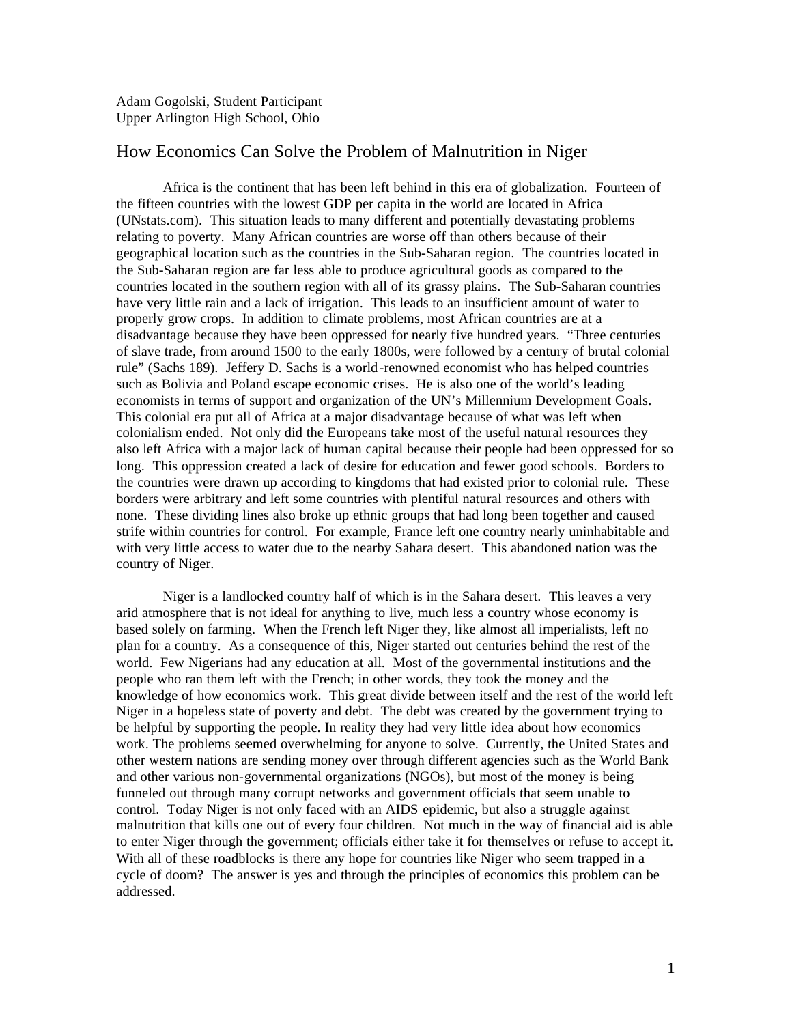## How Economics Can Solve the Problem of Malnutrition in Niger

Africa is the continent that has been left behind in this era of globalization. Fourteen of the fifteen countries with the lowest GDP per capita in the world are located in Africa (UNstats.com). This situation leads to many different and potentially devastating problems relating to poverty. Many African countries are worse off than others because of their geographical location such as the countries in the Sub-Saharan region. The countries located in the Sub-Saharan region are far less able to produce agricultural goods as compared to the countries located in the southern region with all of its grassy plains. The Sub-Saharan countries have very little rain and a lack of irrigation. This leads to an insufficient amount of water to properly grow crops. In addition to climate problems, most African countries are at a disadvantage because they have been oppressed for nearly five hundred years. "Three centuries of slave trade, from around 1500 to the early 1800s, were followed by a century of brutal colonial rule" (Sachs 189). Jeffery D. Sachs is a world-renowned economist who has helped countries such as Bolivia and Poland escape economic crises. He is also one of the world's leading economists in terms of support and organization of the UN's Millennium Development Goals. This colonial era put all of Africa at a major disadvantage because of what was left when colonialism ended. Not only did the Europeans take most of the useful natural resources they also left Africa with a major lack of human capital because their people had been oppressed for so long. This oppression created a lack of desire for education and fewer good schools. Borders to the countries were drawn up according to kingdoms that had existed prior to colonial rule. These borders were arbitrary and left some countries with plentiful natural resources and others with none. These dividing lines also broke up ethnic groups that had long been together and caused strife within countries for control. For example, France left one country nearly uninhabitable and with very little access to water due to the nearby Sahara desert. This abandoned nation was the country of Niger.

Niger is a landlocked country half of which is in the Sahara desert. This leaves a very arid atmosphere that is not ideal for anything to live, much less a country whose economy is based solely on farming. When the French left Niger they, like almost all imperialists, left no plan for a country. As a consequence of this, Niger started out centuries behind the rest of the world. Few Nigerians had any education at all. Most of the governmental institutions and the people who ran them left with the French; in other words, they took the money and the knowledge of how economics work. This great divide between itself and the rest of the world left Niger in a hopeless state of poverty and debt. The debt was created by the government trying to be helpful by supporting the people. In reality they had very little idea about how economics work. The problems seemed overwhelming for anyone to solve. Currently, the United States and other western nations are sending money over through different agencies such as the World Bank and other various non-governmental organizations (NGOs), but most of the money is being funneled out through many corrupt networks and government officials that seem unable to control. Today Niger is not only faced with an AIDS epidemic, but also a struggle against malnutrition that kills one out of every four children. Not much in the way of financial aid is able to enter Niger through the government; officials either take it for themselves or refuse to accept it. With all of these roadblocks is there any hope for countries like Niger who seem trapped in a cycle of doom? The answer is yes and through the principles of economics this problem can be addressed.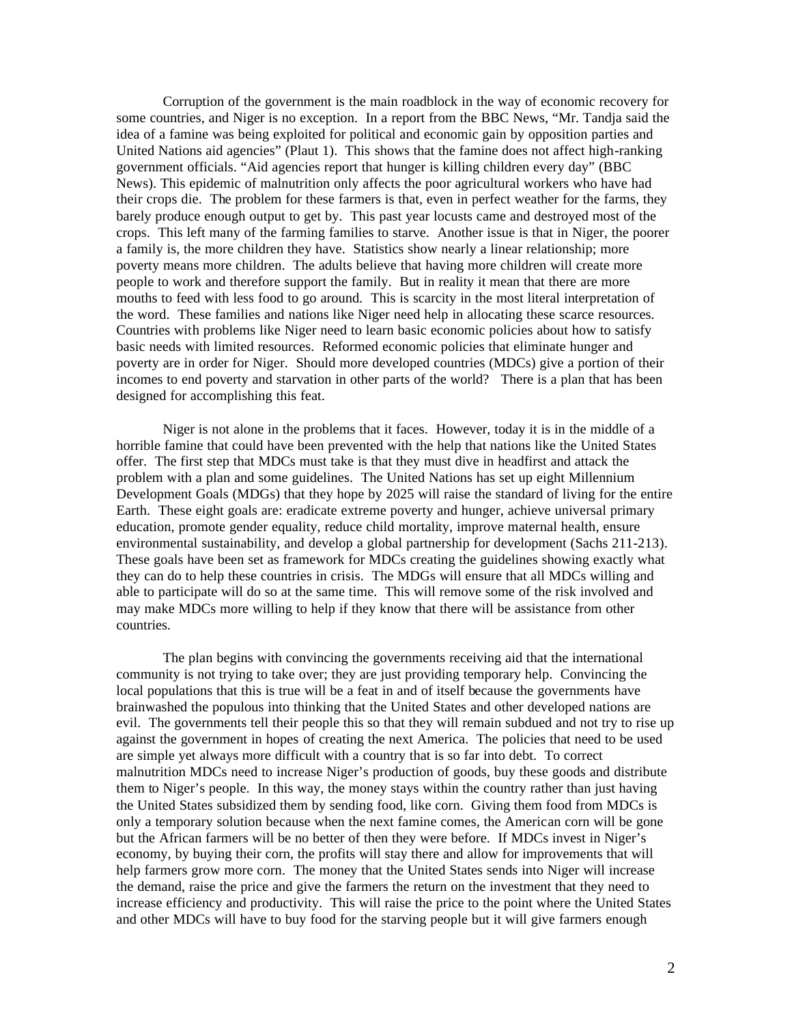Corruption of the government is the main roadblock in the way of economic recovery for some countries, and Niger is no exception. In a report from the BBC News, "Mr. Tandja said the idea of a famine was being exploited for political and economic gain by opposition parties and United Nations aid agencies" (Plaut 1). This shows that the famine does not affect high-ranking government officials. "Aid agencies report that hunger is killing children every day" (BBC News). This epidemic of malnutrition only affects the poor agricultural workers who have had their crops die. The problem for these farmers is that, even in perfect weather for the farms, they barely produce enough output to get by. This past year locusts came and destroyed most of the crops. This left many of the farming families to starve. Another issue is that in Niger, the poorer a family is, the more children they have. Statistics show nearly a linear relationship; more poverty means more children. The adults believe that having more children will create more people to work and therefore support the family. But in reality it mean that there are more mouths to feed with less food to go around. This is scarcity in the most literal interpretation of the word. These families and nations like Niger need help in allocating these scarce resources. Countries with problems like Niger need to learn basic economic policies about how to satisfy basic needs with limited resources. Reformed economic policies that eliminate hunger and poverty are in order for Niger. Should more developed countries (MDCs) give a portion of their incomes to end poverty and starvation in other parts of the world? There is a plan that has been designed for accomplishing this feat.

Niger is not alone in the problems that it faces. However, today it is in the middle of a horrible famine that could have been prevented with the help that nations like the United States offer. The first step that MDCs must take is that they must dive in headfirst and attack the problem with a plan and some guidelines. The United Nations has set up eight Millennium Development Goals (MDGs) that they hope by 2025 will raise the standard of living for the entire Earth. These eight goals are: eradicate extreme poverty and hunger, achieve universal primary education, promote gender equality, reduce child mortality, improve maternal health, ensure environmental sustainability, and develop a global partnership for development (Sachs 211-213). These goals have been set as framework for MDCs creating the guidelines showing exactly what they can do to help these countries in crisis. The MDGs will ensure that all MDCs willing and able to participate will do so at the same time. This will remove some of the risk involved and may make MDCs more willing to help if they know that there will be assistance from other countries.

The plan begins with convincing the governments receiving aid that the international community is not trying to take over; they are just providing temporary help. Convincing the local populations that this is true will be a feat in and of itself because the governments have brainwashed the populous into thinking that the United States and other developed nations are evil. The governments tell their people this so that they will remain subdued and not try to rise up against the government in hopes of creating the next America. The policies that need to be used are simple yet always more difficult with a country that is so far into debt. To correct malnutrition MDCs need to increase Niger's production of goods, buy these goods and distribute them to Niger's people. In this way, the money stays within the country rather than just having the United States subsidized them by sending food, like corn. Giving them food from MDCs is only a temporary solution because when the next famine comes, the American corn will be gone but the African farmers will be no better of then they were before. If MDCs invest in Niger's economy, by buying their corn, the profits will stay there and allow for improvements that will help farmers grow more corn. The money that the United States sends into Niger will increase the demand, raise the price and give the farmers the return on the investment that they need to increase efficiency and productivity. This will raise the price to the point where the United States and other MDCs will have to buy food for the starving people but it will give farmers enough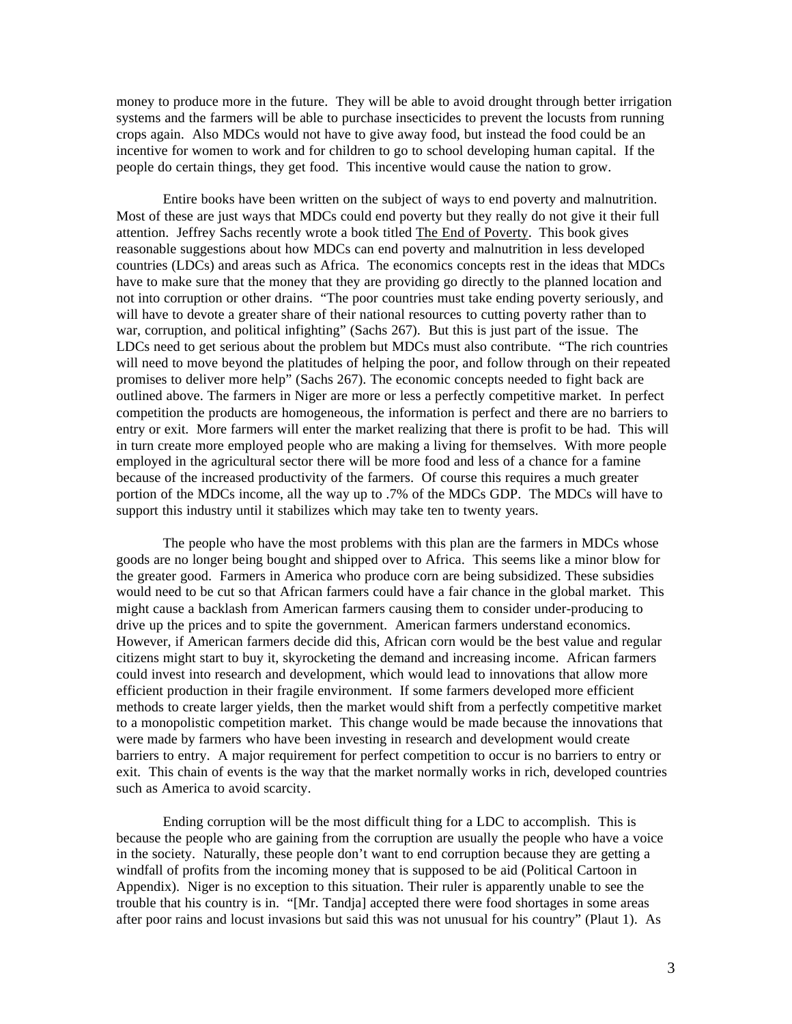money to produce more in the future. They will be able to avoid drought through better irrigation systems and the farmers will be able to purchase insecticides to prevent the locusts from running crops again. Also MDCs would not have to give away food, but instead the food could be an incentive for women to work and for children to go to school developing human capital. If the people do certain things, they get food. This incentive would cause the nation to grow.

Entire books have been written on the subject of ways to end poverty and malnutrition. Most of these are just ways that MDCs could end poverty but they really do not give it their full attention. Jeffrey Sachs recently wrote a book titled The End of Poverty. This book gives reasonable suggestions about how MDCs can end poverty and malnutrition in less developed countries (LDCs) and areas such as Africa. The economics concepts rest in the ideas that MDCs have to make sure that the money that they are providing go directly to the planned location and not into corruption or other drains. "The poor countries must take ending poverty seriously, and will have to devote a greater share of their national resources to cutting poverty rather than to war, corruption, and political infighting" (Sachs 267). But this is just part of the issue. The LDCs need to get serious about the problem but MDCs must also contribute. "The rich countries will need to move beyond the platitudes of helping the poor, and follow through on their repeated promises to deliver more help" (Sachs 267). The economic concepts needed to fight back are outlined above. The farmers in Niger are more or less a perfectly competitive market. In perfect competition the products are homogeneous, the information is perfect and there are no barriers to entry or exit. More farmers will enter the market realizing that there is profit to be had. This will in turn create more employed people who are making a living for themselves. With more people employed in the agricultural sector there will be more food and less of a chance for a famine because of the increased productivity of the farmers. Of course this requires a much greater portion of the MDCs income, all the way up to .7% of the MDCs GDP. The MDCs will have to support this industry until it stabilizes which may take ten to twenty years.

The people who have the most problems with this plan are the farmers in MDCs whose goods are no longer being bought and shipped over to Africa. This seems like a minor blow for the greater good. Farmers in America who produce corn are being subsidized. These subsidies would need to be cut so that African farmers could have a fair chance in the global market. This might cause a backlash from American farmers causing them to consider under-producing to drive up the prices and to spite the government. American farmers understand economics. However, if American farmers decide did this, African corn would be the best value and regular citizens might start to buy it, skyrocketing the demand and increasing income. African farmers could invest into research and development, which would lead to innovations that allow more efficient production in their fragile environment. If some farmers developed more efficient methods to create larger yields, then the market would shift from a perfectly competitive market to a monopolistic competition market. This change would be made because the innovations that were made by farmers who have been investing in research and development would create barriers to entry. A major requirement for perfect competition to occur is no barriers to entry or exit. This chain of events is the way that the market normally works in rich, developed countries such as America to avoid scarcity.

Ending corruption will be the most difficult thing for a LDC to accomplish. This is because the people who are gaining from the corruption are usually the people who have a voice in the society. Naturally, these people don't want to end corruption because they are getting a windfall of profits from the incoming money that is supposed to be aid (Political Cartoon in Appendix). Niger is no exception to this situation. Their ruler is apparently unable to see the trouble that his country is in. "[Mr. Tandja] accepted there were food shortages in some areas after poor rains and locust invasions but said this was not unusual for his country" (Plaut 1). As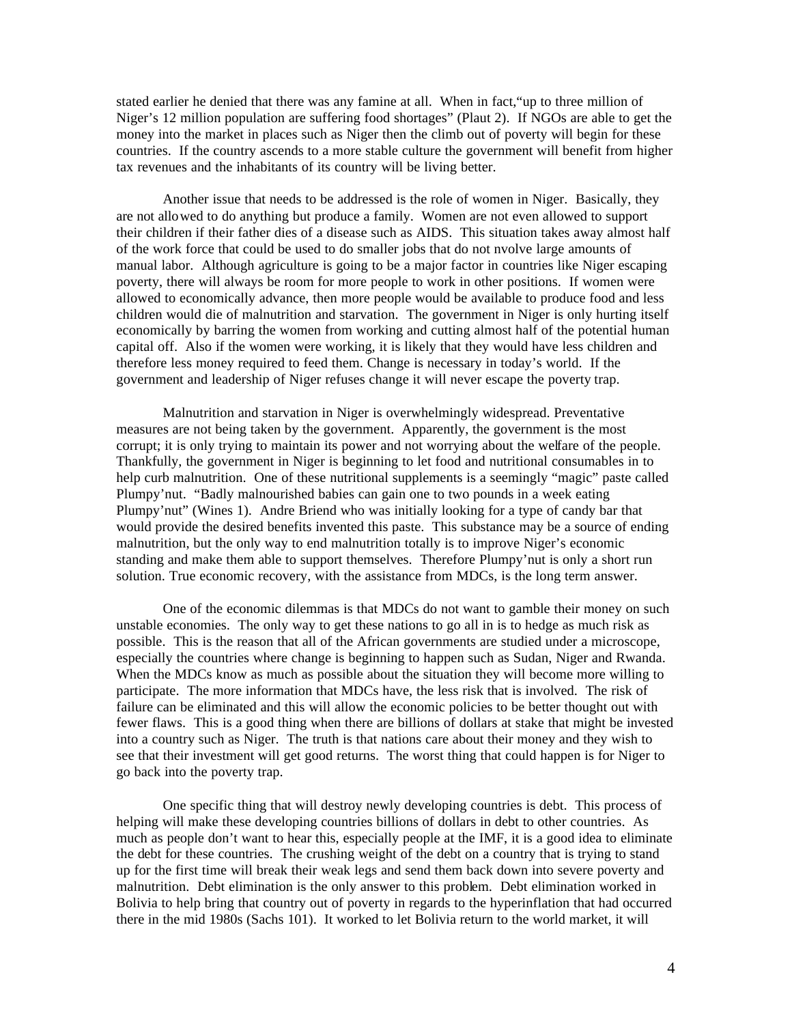stated earlier he denied that there was any famine at all. When in fact,"up to three million of Niger's 12 million population are suffering food shortages" (Plaut 2). If NGOs are able to get the money into the market in places such as Niger then the climb out of poverty will begin for these countries. If the country ascends to a more stable culture the government will benefit from higher tax revenues and the inhabitants of its country will be living better.

Another issue that needs to be addressed is the role of women in Niger. Basically, they are not allowed to do anything but produce a family. Women are not even allowed to support their children if their father dies of a disease such as AIDS. This situation takes away almost half of the work force that could be used to do smaller jobs that do not nvolve large amounts of manual labor. Although agriculture is going to be a major factor in countries like Niger escaping poverty, there will always be room for more people to work in other positions. If women were allowed to economically advance, then more people would be available to produce food and less children would die of malnutrition and starvation. The government in Niger is only hurting itself economically by barring the women from working and cutting almost half of the potential human capital off. Also if the women were working, it is likely that they would have less children and therefore less money required to feed them. Change is necessary in today's world. If the government and leadership of Niger refuses change it will never escape the poverty trap.

Malnutrition and starvation in Niger is overwhelmingly widespread. Preventative measures are not being taken by the government. Apparently, the government is the most corrupt; it is only trying to maintain its power and not worrying about the welfare of the people. Thankfully, the government in Niger is beginning to let food and nutritional consumables in to help curb malnutrition. One of these nutritional supplements is a seemingly "magic" paste called Plumpy'nut. "Badly malnourished babies can gain one to two pounds in a week eating Plumpy'nut" (Wines 1). Andre Briend who was initially looking for a type of candy bar that would provide the desired benefits invented this paste. This substance may be a source of ending malnutrition, but the only way to end malnutrition totally is to improve Niger's economic standing and make them able to support themselves. Therefore Plumpy'nut is only a short run solution. True economic recovery, with the assistance from MDCs, is the long term answer.

One of the economic dilemmas is that MDCs do not want to gamble their money on such unstable economies. The only way to get these nations to go all in is to hedge as much risk as possible. This is the reason that all of the African governments are studied under a microscope, especially the countries where change is beginning to happen such as Sudan, Niger and Rwanda. When the MDCs know as much as possible about the situation they will become more willing to participate. The more information that MDCs have, the less risk that is involved. The risk of failure can be eliminated and this will allow the economic policies to be better thought out with fewer flaws. This is a good thing when there are billions of dollars at stake that might be invested into a country such as Niger. The truth is that nations care about their money and they wish to see that their investment will get good returns. The worst thing that could happen is for Niger to go back into the poverty trap.

One specific thing that will destroy newly developing countries is debt. This process of helping will make these developing countries billions of dollars in debt to other countries. As much as people don't want to hear this, especially people at the IMF, it is a good idea to eliminate the debt for these countries. The crushing weight of the debt on a country that is trying to stand up for the first time will break their weak legs and send them back down into severe poverty and malnutrition. Debt elimination is the only answer to this problem. Debt elimination worked in Bolivia to help bring that country out of poverty in regards to the hyperinflation that had occurred there in the mid 1980s (Sachs 101). It worked to let Bolivia return to the world market, it will